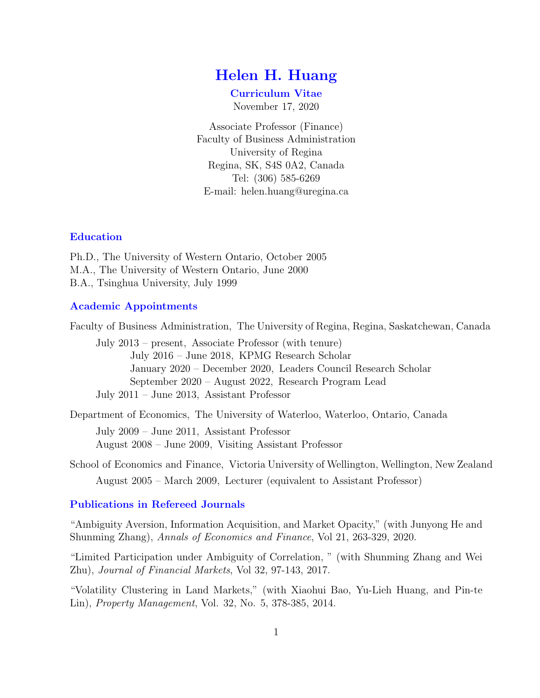# Helen H. Huang

Curriculum Vitae

November 17, 2020

Associate Professor (Finance) Faculty of Business Administration University of Regina Regina, SK, S4S 0A2, Canada Tel: (306) 585-6269 E-mail: helen.huang@uregina.ca

### Education

Ph.D., The University of Western Ontario, October 2005 M.A., The University of Western Ontario, June 2000 B.A., Tsinghua University, July 1999

### Academic Appointments

Faculty of Business Administration, The University of Regina, Regina, Saskatchewan, Canada

July 2013 – present, Associate Professor (with tenure) July 2016 – June 2018, KPMG Research Scholar January 2020 – December 2020, Leaders Council Research Scholar September 2020 – August 2022, Research Program Lead July 2011 – June 2013, Assistant Professor

Department of Economics, The University of Waterloo, Waterloo, Ontario, Canada

July 2009 – June 2011, Assistant Professor August 2008 – June 2009, Visiting Assistant Professor

School of Economics and Finance, Victoria University of Wellington, Wellington, New Zealand August 2005 – March 2009, Lecturer (equivalent to Assistant Professor)

# Publications in Refereed Journals

"Ambiguity Aversion, Information Acquisition, and Market Opacity," (with Junyong He and Shunming Zhang), Annals of Economics and Finance, Vol 21, 263-329, 2020.

"Limited Participation under Ambiguity of Correlation, " (with Shunming Zhang and Wei Zhu), Journal of Financial Markets, Vol 32, 97-143, 2017.

"Volatility Clustering in Land Markets," (with Xiaohui Bao, Yu-Lieh Huang, and Pin-te Lin), Property Management, Vol. 32, No. 5, 378-385, 2014.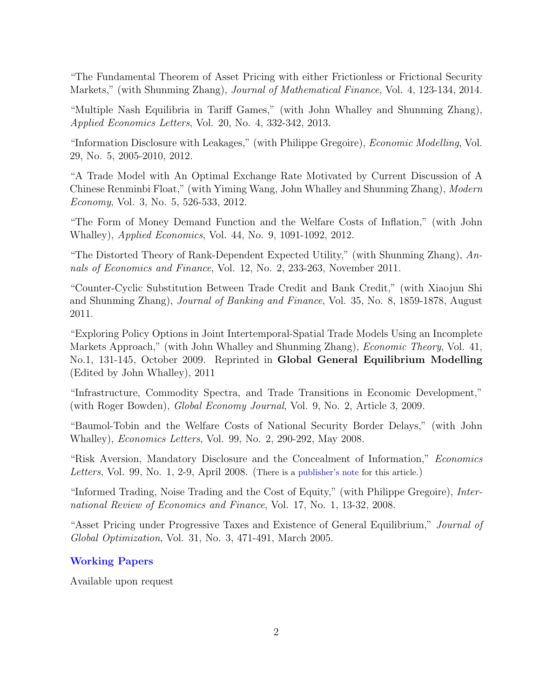"The Fundamental Theorem of Asset Pricing with either Frictionless or Frictional Security Markets," (with Shunming Zhang), *Journal of Mathematical Finance*, Vol. 4, 123-134, 2014.

"Multiple Nash Equilibria in Tariff Games," (with John Whalley and Shunming Zhang), Applied Economics Letters, Vol. 20, No. 4, 332-342, 2013.

"Information Disclosure with Leakages," (with Philippe Gregoire), Economic Modelling, Vol. 29, No. 5, 2005-2010, 2012.

"A Trade Model with An Optimal Exchange Rate Motivated by Current Discussion of A Chinese Renminbi Float," (with Yiming Wang, John Whalley and Shunming Zhang), Modern Economy, Vol. 3, No. 5, 526-533, 2012.

"The Form of Money Demand Function and the Welfare Costs of Inflation," (with John Whalley), Applied Economics, Vol. 44, No. 9, 1091-1092, 2012.

"The Distorted Theory of Rank-Dependent Expected Utility," (with Shunming Zhang),  $An$ nals of Economics and Finance, Vol. 12, No. 2, 233-263, November 2011.

"Counter-Cyclic Substitution Between Trade Credit and Bank Credit," (with Xiaojun Shi and Shunming Zhang), Journal of Banking and Finance, Vol. 35, No. 8, 1859-1878, August 2011.

"Exploring Policy Options in Joint Intertemporal-Spatial Trade Models Using an Incomplete Markets Approach," (with John Whalley and Shunming Zhang), *Economic Theory*, Vol. 41, No.1, 131-145, October 2009. Reprinted in Global General Equilibrium Modelling (Edited by John Whalley), 2011

"Infrastructure, Commodity Spectra, and Trade Transitions in Economic Development," (with Roger Bowden), Global Economy Journal, Vol. 9, No. 2, Article 3, 2009.

"Baumol-Tobin and the Welfare Costs of National Security Border Delays," (with John Whalley), Economics Letters, Vol. 99, No. 2, 290-292, May 2008.

"Risk Aversion, Mandatory Disclosure and the Concealment of Information," Economics Letters, Vol. 99, No. 1, 2-9, April 2008. (There is a [publisher's note](http://www.sciencedirect.com/science?_ob=ArticleURL&_udi=B6V84-4RFKKG6-1&_user=1067412&_coverDate=04%2F30%2F2008&_rdoc=2&_fmt=high&_orig=browse&_origin=browse&_zone=rslt_list_item&_srch=doc-info%28%23toc%235860%232008%23999009998%23684024%23FLA%23display%23Volume%29&_cdi=5860&_sort=d&_docanchor=&view=c&_ct=56&_acct=C000051246&_version=1&_urlVersion=0&_userid=1067412&md5=b98fefc8388291e0482aa1950f207a1d&searchtype=a) for this article.)

"Informed Trading, Noise Trading and the Cost of Equity," (with Philippe Gregoire), International Review of Economics and Finance, Vol. 17, No. 1, 13-32, 2008.

"Asset Pricing under Progressive Taxes and Existence of General Equilibrium," Journal of Global Optimization, Vol. 31, No. 3, 471-491, March 2005.

# Working Papers

Available upon request